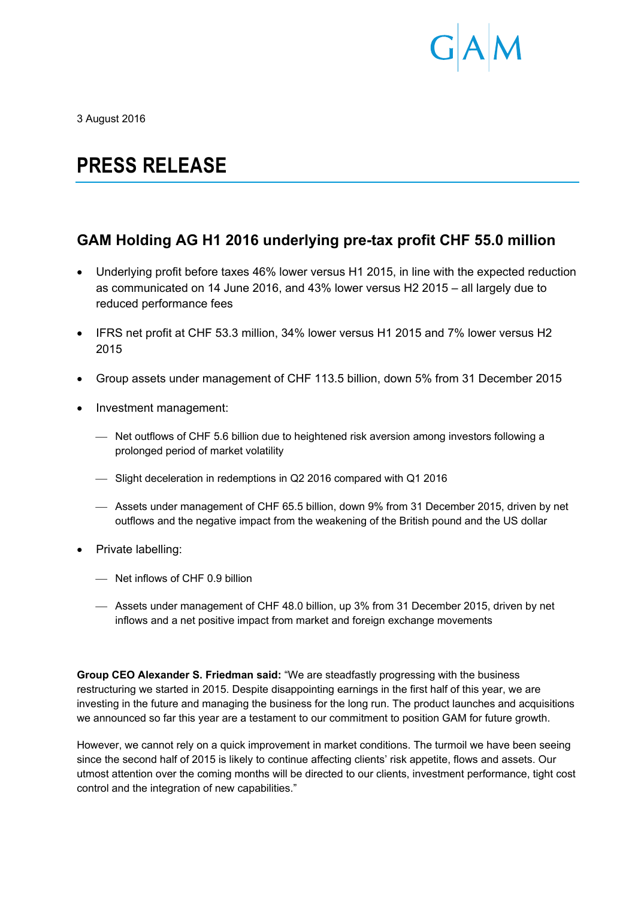

3 August 2016

# **PRESS RELEASE**

# **GAM Holding AG H1 2016 underlying pre-tax profit CHF 55.0 million**

- Underlying profit before taxes 46% lower versus H1 2015, in line with the expected reduction as communicated on 14 June 2016, and 43% lower versus H2 2015 – all largely due to reduced performance fees
- IFRS net profit at CHF 53.3 million, 34% lower versus H1 2015 and 7% lower versus H2 2015
- Group assets under management of CHF 113.5 billion, down 5% from 31 December 2015
- Investment management:
	- Net outflows of CHF 5.6 billion due to heightened risk aversion among investors following a prolonged period of market volatility
	- Slight deceleration in redemptions in Q2 2016 compared with Q1 2016
	- Assets under management of CHF 65.5 billion, down 9% from 31 December 2015, driven by net outflows and the negative impact from the weakening of the British pound and the US dollar
- Private labelling:
	- Net inflows of CHF 0.9 billion
	- Assets under management of CHF 48.0 billion, up 3% from 31 December 2015, driven by net inflows and a net positive impact from market and foreign exchange movements

**Group CEO Alexander S. Friedman said:** "We are steadfastly progressing with the business restructuring we started in 2015. Despite disappointing earnings in the first half of this year, we are investing in the future and managing the business for the long run. The product launches and acquisitions we announced so far this year are a testament to our commitment to position GAM for future growth.

However, we cannot rely on a quick improvement in market conditions. The turmoil we have been seeing since the second half of 2015 is likely to continue affecting clients' risk appetite, flows and assets. Our utmost attention over the coming months will be directed to our clients, investment performance, tight cost control and the integration of new capabilities."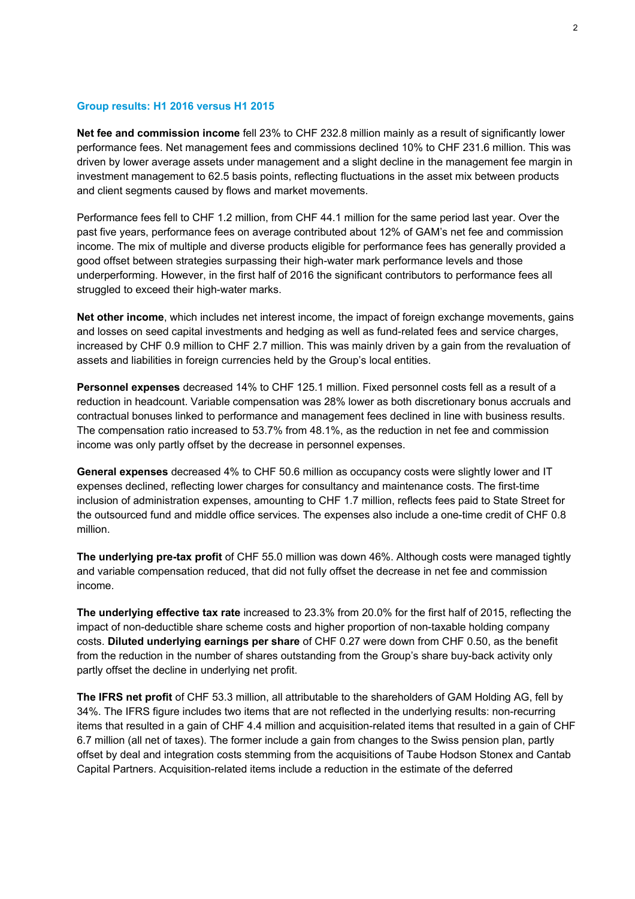## **Group results: H1 2016 versus H1 2015**

**Net fee and commission income** fell 23% to CHF 232.8 million mainly as a result of significantly lower performance fees. Net management fees and commissions declined 10% to CHF 231.6 million. This was driven by lower average assets under management and a slight decline in the management fee margin in investment management to 62.5 basis points, reflecting fluctuations in the asset mix between products and client segments caused by flows and market movements.

Performance fees fell to CHF 1.2 million, from CHF 44.1 million for the same period last year. Over the past five years, performance fees on average contributed about 12% of GAM's net fee and commission income. The mix of multiple and diverse products eligible for performance fees has generally provided a good offset between strategies surpassing their high-water mark performance levels and those underperforming. However, in the first half of 2016 the significant contributors to performance fees all struggled to exceed their high-water marks.

**Net other income**, which includes net interest income, the impact of foreign exchange movements, gains and losses on seed capital investments and hedging as well as fund-related fees and service charges, increased by CHF 0.9 million to CHF 2.7 million. This was mainly driven by a gain from the revaluation of assets and liabilities in foreign currencies held by the Group's local entities.

**Personnel expenses** decreased 14% to CHF 125.1 million. Fixed personnel costs fell as a result of a reduction in headcount. Variable compensation was 28% lower as both discretionary bonus accruals and contractual bonuses linked to performance and management fees declined in line with business results. The compensation ratio increased to 53.7% from 48.1%, as the reduction in net fee and commission income was only partly offset by the decrease in personnel expenses.

**General expenses** decreased 4% to CHF 50.6 million as occupancy costs were slightly lower and IT expenses declined, reflecting lower charges for consultancy and maintenance costs. The first-time inclusion of administration expenses, amounting to CHF 1.7 million, reflects fees paid to State Street for the outsourced fund and middle office services. The expenses also include a one-time credit of CHF 0.8 million.

**The underlying pre-tax profit** of CHF 55.0 million was down 46%. Although costs were managed tightly and variable compensation reduced, that did not fully offset the decrease in net fee and commission income.

**The underlying effective tax rate** increased to 23.3% from 20.0% for the first half of 2015, reflecting the impact of non-deductible share scheme costs and higher proportion of non-taxable holding company costs. **Diluted underlying earnings per share** of CHF 0.27 were down from CHF 0.50, as the benefit from the reduction in the number of shares outstanding from the Group's share buy-back activity only partly offset the decline in underlying net profit.

**The IFRS net profit** of CHF 53.3 million, all attributable to the shareholders of GAM Holding AG, fell by 34%. The IFRS figure includes two items that are not reflected in the underlying results: non-recurring items that resulted in a gain of CHF 4.4 million and acquisition-related items that resulted in a gain of CHF 6.7 million (all net of taxes). The former include a gain from changes to the Swiss pension plan, partly offset by deal and integration costs stemming from the acquisitions of Taube Hodson Stonex and Cantab Capital Partners. Acquisition-related items include a reduction in the estimate of the deferred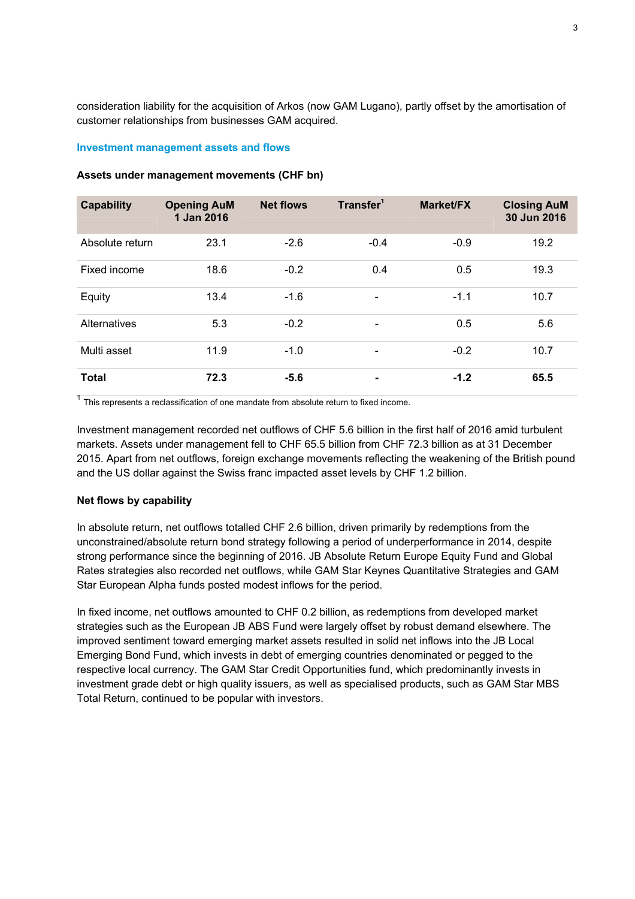consideration liability for the acquisition of Arkos (now GAM Lugano), partly offset by the amortisation of customer relationships from businesses GAM acquired.

## **Investment management assets and flows**

| <b>Capability</b> | <b>Opening AuM</b><br>1 Jan 2016 | <b>Net flows</b> | Transfer <sup>1</sup>    | <b>Market/FX</b> | <b>Closing AuM</b><br>30 Jun 2016 |
|-------------------|----------------------------------|------------------|--------------------------|------------------|-----------------------------------|
| Absolute return   | 23.1                             | $-2.6$           | $-0.4$                   | $-0.9$           | 19.2                              |
| Fixed income      | 18.6                             | $-0.2$           | 0.4                      | 0.5              | 19.3                              |
| Equity            | 13.4                             | $-1.6$           | $\overline{\phantom{a}}$ | $-1.1$           | 10.7                              |
| Alternatives      | 5.3                              | $-0.2$           | $\overline{\phantom{a}}$ | 0.5              | 5.6                               |
| Multi asset       | 11.9                             | $-1.0$           |                          | $-0.2$           | 10.7                              |
| <b>Total</b>      | 72.3                             | $-5.6$           | ۰                        | $-1.2$           | 65.5                              |

## **Assets under management movements (CHF bn)**

 $1$  This represents a reclassification of one mandate from absolute return to fixed income.

Investment management recorded net outflows of CHF 5.6 billion in the first half of 2016 amid turbulent markets. Assets under management fell to CHF 65.5 billion from CHF 72.3 billion as at 31 December 2015. Apart from net outflows, foreign exchange movements reflecting the weakening of the British pound and the US dollar against the Swiss franc impacted asset levels by CHF 1.2 billion.

## **Net flows by capability**

In absolute return, net outflows totalled CHF 2.6 billion, driven primarily by redemptions from the unconstrained/absolute return bond strategy following a period of underperformance in 2014, despite strong performance since the beginning of 2016. JB Absolute Return Europe Equity Fund and Global Rates strategies also recorded net outflows, while GAM Star Keynes Quantitative Strategies and GAM Star European Alpha funds posted modest inflows for the period.

In fixed income, net outflows amounted to CHF 0.2 billion, as redemptions from developed market strategies such as the European JB ABS Fund were largely offset by robust demand elsewhere. The improved sentiment toward emerging market assets resulted in solid net inflows into the JB Local Emerging Bond Fund, which invests in debt of emerging countries denominated or pegged to the respective local currency. The GAM Star Credit Opportunities fund, which predominantly invests in investment grade debt or high quality issuers, as well as specialised products, such as GAM Star MBS Total Return, continued to be popular with investors.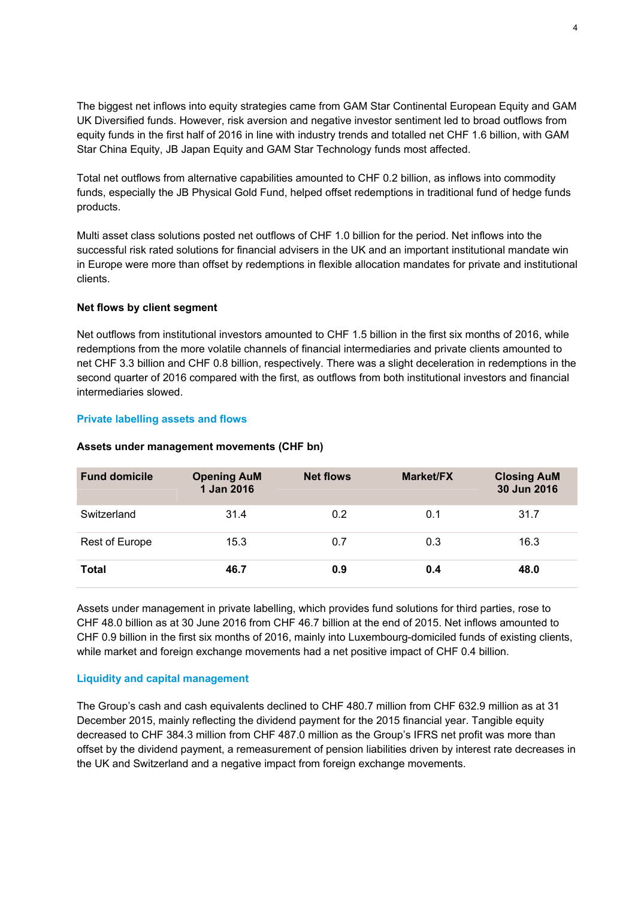The biggest net inflows into equity strategies came from GAM Star Continental European Equity and GAM UK Diversified funds. However, risk aversion and negative investor sentiment led to broad outflows from equity funds in the first half of 2016 in line with industry trends and totalled net CHF 1.6 billion, with GAM Star China Equity, JB Japan Equity and GAM Star Technology funds most affected.

Total net outflows from alternative capabilities amounted to CHF 0.2 billion, as inflows into commodity funds, especially the JB Physical Gold Fund, helped offset redemptions in traditional fund of hedge funds products.

Multi asset class solutions posted net outflows of CHF 1.0 billion for the period. Net inflows into the successful risk rated solutions for financial advisers in the UK and an important institutional mandate win in Europe were more than offset by redemptions in flexible allocation mandates for private and institutional clients.

# **Net flows by client segment**

Net outflows from institutional investors amounted to CHF 1.5 billion in the first six months of 2016, while redemptions from the more volatile channels of financial intermediaries and private clients amounted to net CHF 3.3 billion and CHF 0.8 billion, respectively. There was a slight deceleration in redemptions in the second quarter of 2016 compared with the first, as outflows from both institutional investors and financial intermediaries slowed.

# **Private labelling assets and flows**

| <b>Fund domicile</b> | <b>Opening AuM</b><br>1 Jan 2016 | <b>Net flows</b> | <b>Market/FX</b> | <b>Closing AuM</b><br>30 Jun 2016 |
|----------------------|----------------------------------|------------------|------------------|-----------------------------------|
| Switzerland          | 31.4                             | 0.2              | 0.1              | 31.7                              |
| Rest of Europe       | 15.3                             | 0.7              | 0.3              | 16.3                              |
| <b>Total</b>         | 46.7                             | 0.9              | 0.4              | 48.0                              |

## **Assets under management movements (CHF bn)**

Assets under management in private labelling, which provides fund solutions for third parties, rose to CHF 48.0 billion as at 30 June 2016 from CHF 46.7 billion at the end of 2015. Net inflows amounted to CHF 0.9 billion in the first six months of 2016, mainly into Luxembourg-domiciled funds of existing clients, while market and foreign exchange movements had a net positive impact of CHF 0.4 billion.

# **Liquidity and capital management**

The Group's cash and cash equivalents declined to CHF 480.7 million from CHF 632.9 million as at 31 December 2015, mainly reflecting the dividend payment for the 2015 financial year. Tangible equity decreased to CHF 384.3 million from CHF 487.0 million as the Group's IFRS net profit was more than offset by the dividend payment, a remeasurement of pension liabilities driven by interest rate decreases in the UK and Switzerland and a negative impact from foreign exchange movements.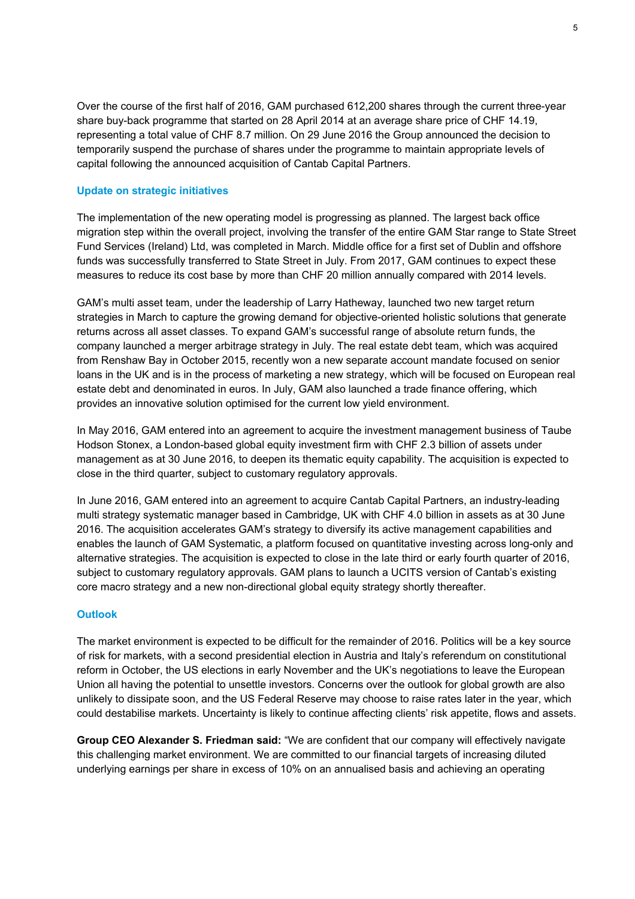Over the course of the first half of 2016, GAM purchased 612,200 shares through the current three-year share buy-back programme that started on 28 April 2014 at an average share price of CHF 14.19, representing a total value of CHF 8.7 million. On 29 June 2016 the Group announced the decision to temporarily suspend the purchase of shares under the programme to maintain appropriate levels of capital following the announced acquisition of Cantab Capital Partners.

# **Update on strategic initiatives**

The implementation of the new operating model is progressing as planned. The largest back office migration step within the overall project, involving the transfer of the entire GAM Star range to State Street Fund Services (Ireland) Ltd, was completed in March. Middle office for a first set of Dublin and offshore funds was successfully transferred to State Street in July. From 2017, GAM continues to expect these measures to reduce its cost base by more than CHF 20 million annually compared with 2014 levels.

GAM's multi asset team, under the leadership of Larry Hatheway, launched two new target return strategies in March to capture the growing demand for objective-oriented holistic solutions that generate returns across all asset classes. To expand GAM's successful range of absolute return funds, the company launched a merger arbitrage strategy in July. The real estate debt team, which was acquired from Renshaw Bay in October 2015, recently won a new separate account mandate focused on senior loans in the UK and is in the process of marketing a new strategy, which will be focused on European real estate debt and denominated in euros. In July, GAM also launched a trade finance offering, which provides an innovative solution optimised for the current low yield environment.

In May 2016, GAM entered into an agreement to acquire the investment management business of Taube Hodson Stonex, a London-based global equity investment firm with CHF 2.3 billion of assets under management as at 30 June 2016, to deepen its thematic equity capability. The acquisition is expected to close in the third quarter, subject to customary regulatory approvals.

In June 2016, GAM entered into an agreement to acquire Cantab Capital Partners, an industry-leading multi strategy systematic manager based in Cambridge, UK with CHF 4.0 billion in assets as at 30 June 2016. The acquisition accelerates GAM's strategy to diversify its active management capabilities and enables the launch of GAM Systematic, a platform focused on quantitative investing across long-only and alternative strategies. The acquisition is expected to close in the late third or early fourth quarter of 2016, subject to customary regulatory approvals. GAM plans to launch a UCITS version of Cantab's existing core macro strategy and a new non-directional global equity strategy shortly thereafter.

# **Outlook**

The market environment is expected to be difficult for the remainder of 2016. Politics will be a key source of risk for markets, with a second presidential election in Austria and Italy's referendum on constitutional reform in October, the US elections in early November and the UK's negotiations to leave the European Union all having the potential to unsettle investors. Concerns over the outlook for global growth are also unlikely to dissipate soon, and the US Federal Reserve may choose to raise rates later in the year, which could destabilise markets. Uncertainty is likely to continue affecting clients' risk appetite, flows and assets.

**Group CEO Alexander S. Friedman said:** "We are confident that our company will effectively navigate this challenging market environment. We are committed to our financial targets of increasing diluted underlying earnings per share in excess of 10% on an annualised basis and achieving an operating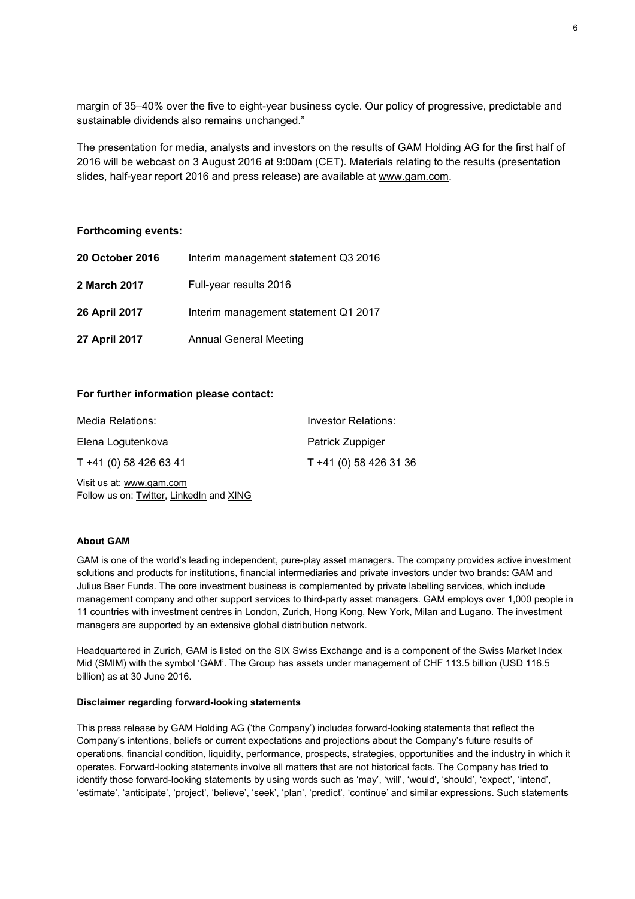margin of 35–40% over the five to eight-year business cycle. Our policy of progressive, predictable and sustainable dividends also remains unchanged."

The presentation for media, analysts and investors on the results of GAM Holding AG for the first half of 2016 will be webcast on 3 August 2016 at 9:00am (CET). Materials relating to the results (presentation slides, half-year report 2016 and press release) are available at www.gam.com.

#### **Forthcoming events:**

| <b>20 October 2016</b> | Interim management statement Q3 2016 |
|------------------------|--------------------------------------|
| 2 March 2017           | Full-year results 2016               |
| <b>26 April 2017</b>   | Interim management statement Q1 2017 |
| 27 April 2017          | <b>Annual General Meeting</b>        |

# **For further information please contact:**

| Media Relations:                                                     | <b>Investor Relations:</b> |
|----------------------------------------------------------------------|----------------------------|
| Elena Logutenkova                                                    | Patrick Zuppiger           |
| T +41 (0) 58 426 63 41                                               | T +41 (0) 58 426 31 36     |
| Visit us at: www.gam.com<br>Follow us on: Twitter, LinkedIn and XING |                            |

## **About GAM**

GAM is one of the world's leading independent, pure-play asset managers. The company provides active investment solutions and products for institutions, financial intermediaries and private investors under two brands: GAM and Julius Baer Funds. The core investment business is complemented by private labelling services, which include management company and other support services to third-party asset managers. GAM employs over 1,000 people in 11 countries with investment centres in London, Zurich, Hong Kong, New York, Milan and Lugano. The investment managers are supported by an extensive global distribution network.

Headquartered in Zurich, GAM is listed on the SIX Swiss Exchange and is a component of the Swiss Market Index Mid (SMIM) with the symbol 'GAM'. The Group has assets under management of CHF 113.5 billion (USD 116.5 billion) as at 30 June 2016.

#### **Disclaimer regarding forward-looking statements**

This press release by GAM Holding AG ('the Company') includes forward-looking statements that reflect the Company's intentions, beliefs or current expectations and projections about the Company's future results of operations, financial condition, liquidity, performance, prospects, strategies, opportunities and the industry in which it operates. Forward-looking statements involve all matters that are not historical facts. The Company has tried to identify those forward-looking statements by using words such as 'may', 'will', 'would', 'should', 'expect', 'intend', 'estimate', 'anticipate', 'project', 'believe', 'seek', 'plan', 'predict', 'continue' and similar expressions. Such statements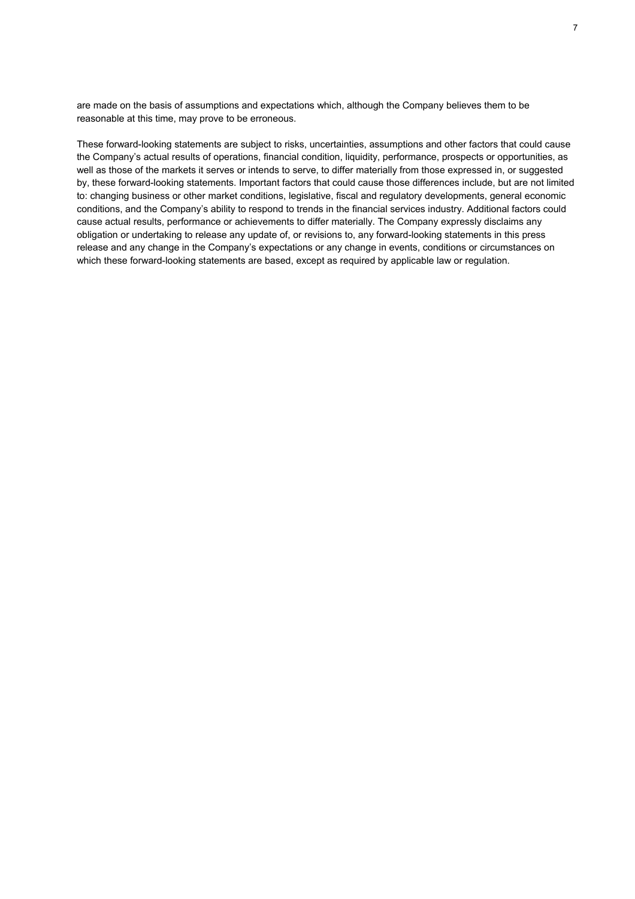are made on the basis of assumptions and expectations which, although the Company believes them to be reasonable at this time, may prove to be erroneous.

These forward-looking statements are subject to risks, uncertainties, assumptions and other factors that could cause the Company's actual results of operations, financial condition, liquidity, performance, prospects or opportunities, as well as those of the markets it serves or intends to serve, to differ materially from those expressed in, or suggested by, these forward-looking statements. Important factors that could cause those differences include, but are not limited to: changing business or other market conditions, legislative, fiscal and regulatory developments, general economic conditions, and the Company's ability to respond to trends in the financial services industry. Additional factors could cause actual results, performance or achievements to differ materially. The Company expressly disclaims any obligation or undertaking to release any update of, or revisions to, any forward-looking statements in this press release and any change in the Company's expectations or any change in events, conditions or circumstances on which these forward-looking statements are based, except as required by applicable law or regulation.